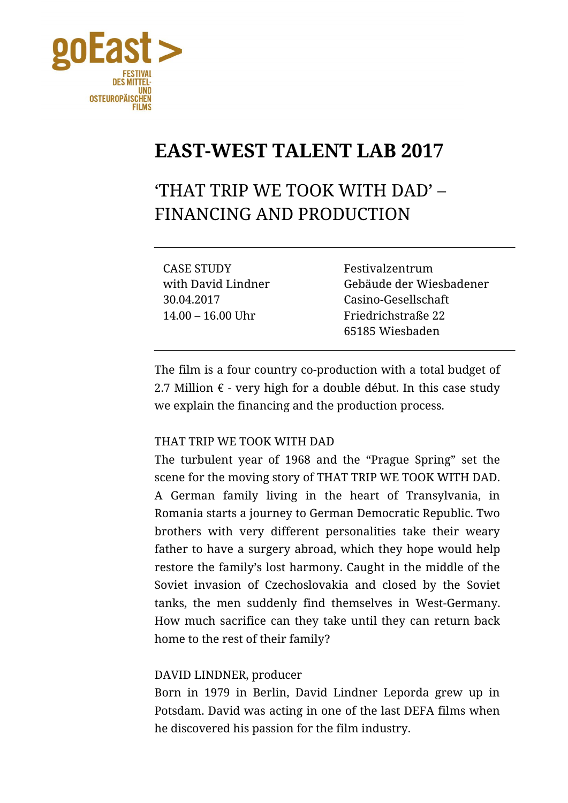

## **EAST-WEST TALENT LAB 2017**

'THAT TRIP WE TOOK WITH DAD' – FINANCING AND PRODUCTION

CASE STUDY Festivalzentrum 30.04.2017 Casino-Gesellschaft 14.00 – 16.00 Uhr Friedrichstraße 22

with David Lindner Gebäude der Wiesbadener 65185 Wiesbaden

The film is a four country co-production with a total budget of 2.7 Million  $\epsilon$  - very high for a double début. In this case study we explain the financing and the production process.

## THAT TRIP WE TOOK WITH DAD

The turbulent year of 1968 and the "Prague Spring" set the scene for the moving story of THAT TRIP WE TOOK WITH DAD. A German family living in the heart of Transylvania, in Romania starts a journey to German Democratic Republic. Two brothers with very different personalities take their weary father to have a surgery abroad, which they hope would help restore the family's lost harmony. Caught in the middle of the Soviet invasion of Czechoslovakia and closed by the Soviet tanks, the men suddenly find themselves in West-Germany. How much sacrifice can they take until they can return back home to the rest of their family?

## DAVID LINDNER, producer

Born in 1979 in Berlin, David Lindner Leporda grew up in Potsdam. David was acting in one of the last DEFA films when he discovered his passion for the film industry.